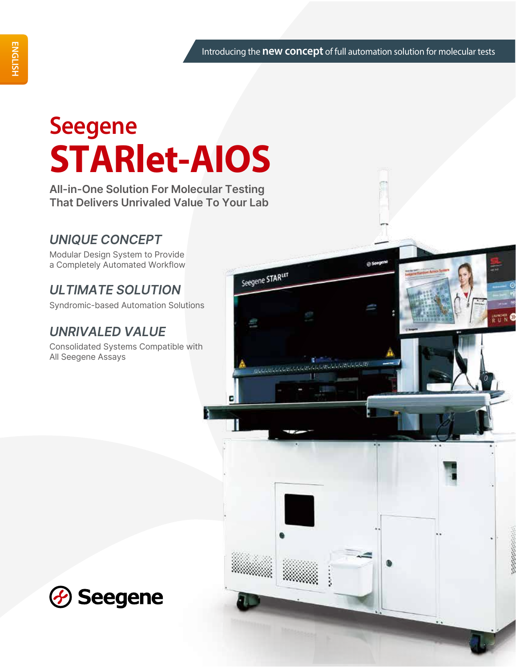# **Seegene STARlet-AIOS**

**All-in-One Solution For Molecular Testing That Delivers Unrivaled Value To Your Lab**

# *UNIQUE CONCEPT*

Modular Design System to Provide a Completely Automated Workflow

# *ULTIMATE SOLUTION*

Syndromic-based Automation Solutions

# *UNRIVALED VALUE*

Consolidated Systems Compatible with All Seegene Assays



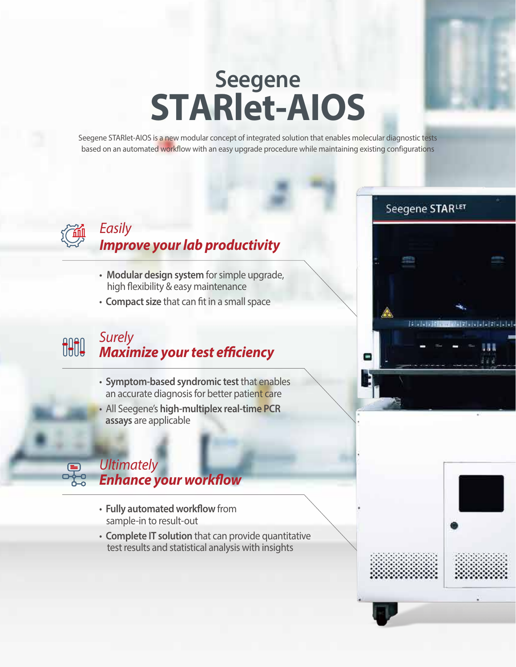# **Seegene STARlet-AIOS**

Seegene STARlet-AIOS is a new modular concept of integrated solution that enables molecular diagnostic tests based on an automated workflow with an easy upgrade procedure while maintaining existing configurations



 $\boldsymbol{\Xi}$ 

### *Easily Improve your lab productivity*

- **Modular design system** for simple upgrade, high flexibility & easy maintenance
- **Compact size** that can fit in a small space

### *Surely* **OUTO Maximize your test efficiency**

- **Symptom-based syndromic test** that enables an accurate diagnosis for better patient care
- All Seegene's **high-multiplex real-time PCR assays** are applicable

### *Ultimately*  **Enhance your workflow**

- Fully automated workflow from sample-in to result-out
- **Complete IT solution** that can provide quantitative test results and statistical analysis with insights

# $\frac{1}{2}$

Seegene STARLET

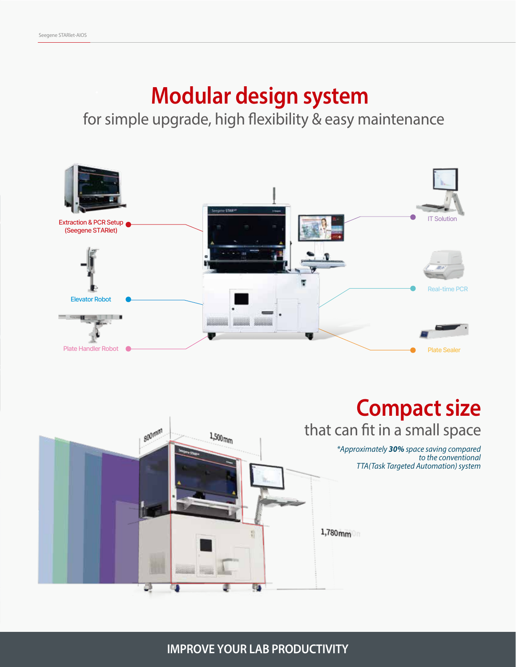# **Modular design system**

for simple upgrade, high flexibility & easy maintenance





**IMPROVE YOUR LAB PRODUCTIVITY**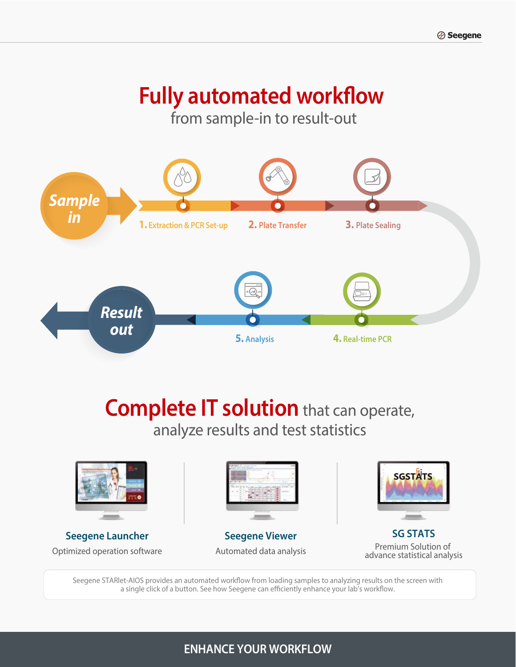# **Fully automated workflow**

from sample-in to result-out



# **Complete IT solution** that can operate, analyze results and test statistics



**Seegene Launcher** Optimized operation software



**Seegene Viewer** Automated data analysis



**SG STATS** Premium Solution of advance statistical analysis

Seegene STARlet-AIOS provides an automated workflow from loading samples to analyzing results on the screen with a single click of a button. See how Seegene can efficiently enhance your lab's workflow.

### **ENHANCE YOUR WORKFLOW**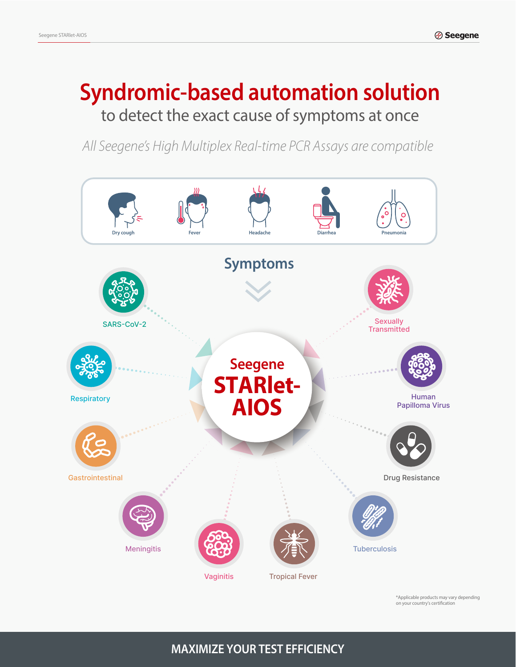# **Syndromic-based automation solution** to detect the exact cause of symptoms at once

*All Seegene's High Multiplex Real-time PCR Assays are compatible*



\*Applicable products may vary depending on your country's certification

### **MAXIMIZE YOUR TEST EFFICIENCY**